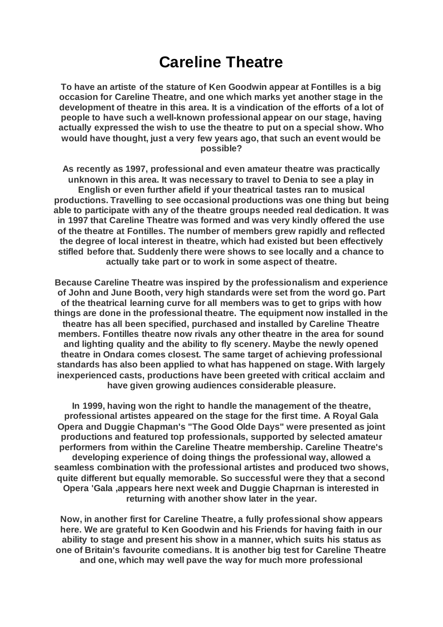## **Careline Theatre**

**To have an artiste of the stature of Ken Goodwin appear at Fontilles is a big occasion for Careline Theatre, and one which marks yet another stage in the development of theatre in this area. It is a vindication of the efforts of a lot of people to have such a well-known professional appear on our stage, having actually expressed the wish to use the theatre to put on a special show. Who would have thought, just a very few years ago, that such an event would be possible?**

**As recently as 1997, professional and even amateur theatre was practically unknown in this area. It was necessary to travel to Denia to see a play in English or even further afield if your theatrical tastes ran to musical productions. Travelling to see occasional productions was one thing but being able to participate with any of the theatre groups needed real dedication. It was in 1997 that Careline Theatre was formed and was very kindly offered the use of the theatre at Fontilles. The number of members grew rapidly and reflected the degree of local interest in theatre, which had existed but been effectively stifled before that. Suddenly there were shows to see locally and a chance to actually take part or to work in some aspect of theatre.**

**Because Careline Theatre was inspired by the professionalism and experience of John and June Booth, very high standards were set from the word go. Part of the theatrical learning curve for all members was to get to grips with how things are done in the professional theatre. The equipment now installed in the theatre has all been specified, purchased and installed by Careline Theatre members. Fontilles theatre now rivals any other theatre in the area for sound and lighting quality and the ability to fly scenery. Maybe the newly opened theatre in Ondara comes closest. The same target of achieving professional standards has also been applied to what has happened on stage. With largely inexperienced casts, productions have been greeted with critical acclaim and have given growing audiences considerable pleasure.**

**In 1999, having won the right to handle the management of the theatre, professional artistes appeared on the stage for the first time. A Royal Gala Opera and Duggie Chapman's "The Good Olde Days" were presented as joint productions and featured top professionals, supported by selected amateur performers from within the Careline Theatre membership. Careline Theatre's developing experience of doing things the professional way, allowed a seamless combination with the professional artistes and produced two shows, quite different but equally memorable. So successful were they that a second Opera 'Gala ,appears here next week and Duggie Chaprnan is interested in returning with another show later in the year.**

**Now, in another first for Careline Theatre, a fully professional show appears here. We are grateful to Ken Goodwin and his Friends for having faith in our ability to stage and present his show in a manner, which suits his status as one of Britain's favourite comedians. It is another big test for Careline Theatre and one, which may well pave the way for much more professional**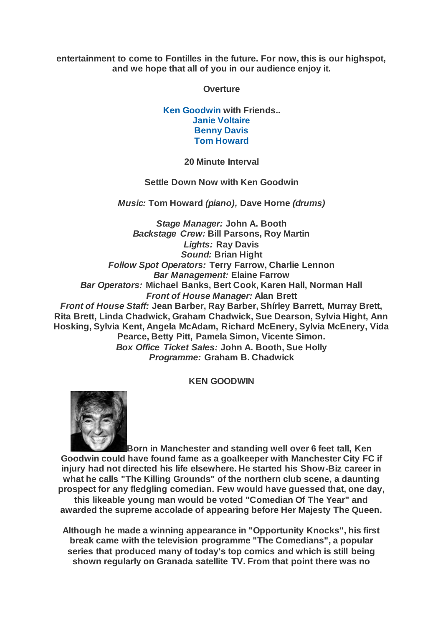**entertainment to come to Fontilles in the future. For now, this is our highspot, and we hope that all of you in our audience enjoy it.**

**Overture**

**[Ken](https://www.carelinetheatre.com/pastprods/kengoodwin.php#KEN) [Goodwin](https://www.carelinetheatre.com/pastprods/kengoodwin.php#KEN) with Friends.. [Janie Voltaire](https://www.carelinetheatre.com/pastprods/kengoodwin.php#JANIE) [Benny Davis](https://www.carelinetheatre.com/pastprods/kengoodwin.php#BENNY) [Tom Howard](https://www.carelinetheatre.com/pastprods/kengoodwin.php#TOM)**

**20 Minute Interval**

**Settle Down Now with Ken Goodwin**

*Music:* **Tom Howard** *(piano),* **Dave Horne** *(drums)*

*Stage Manager:* **John A. Booth** *Backstage Crew:* **Bill Parsons, Roy Martin** *Lights:* **Ray Davis** *Sound:* **Brian Hight** *Follow Spot Operators:* **Terry Farrow, Charlie Lennon** *Bar Management:* **Elaine Farrow** *Bar Operators:* **Michael Banks, Bert Cook, Karen Hall, Norman Hall** *Front of House Manager:* **Alan Brett** *Front of House Staff:* **Jean Barber, Ray Barber, Shírley Barrett, Murray Brett, Rita Brett, Linda Chadwick, Graham Chadwick, Sue Dearson, Sylvia Hight, Ann Hosking, Sylvia Kent, Angela McAdam, Richard McEnery, Sylvia McEnery, Vida Pearce, Betty Pitt, Pamela Simon, Vicente Simon.** *Box Office Ticket Sales:* **John A. Booth, Sue Holly** *Programme:* **Graham B. Chadwick**

**KEN GOODWIN**



**Born in Manchester and standing well over 6 feet tall, Ken Goodwin could have found fame as a goalkeeper with Manchester City FC if injury had not directed his life elsewhere. He started his Show-Biz career in what he calls "The Killing Grounds" of the northern club scene, a daunting prospect for any fledgling comedian. Few would have guessed that, one day, this likeable young man would be voted "Comedian Of The Year" and awarded the supreme accolade of appearing before Her Majesty The Queen.**

**Although he made a winning appearance in "Opportunity Knocks", his first break came with the television programme "The Comedians", a popular series that produced many of today's top comics and which is still being shown regularly on Granada satellite TV. From that point there was no**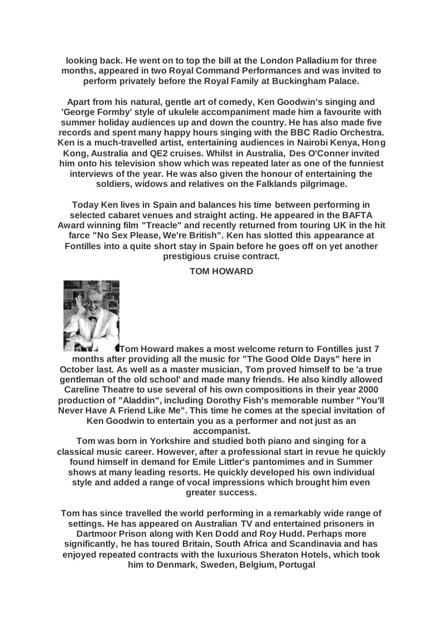**looking back. He went on to top the bill at the London Palladium for three months, appeared in two Royal Command Performances and was invited to perform privately before the Royal Family at Buckingham Palace.**

**Apart from his natural, gentle art of comedy, Ken Goodwin's singing and 'George Formby' style of ukulele accompaniment made him a favourite with summer holiday audiences up and down the country. He has also made five records and spent many happy hours singing with the BBC Radio Orchestra. Ken is a much-travelled artist, entertaining audiences in Nairobi Kenya, Hong Kong, Australia and QE2 cruises. Whilst in Australia, Des O'Conner invited him onto his television show which was repeated later as one of the funniest interviews of the year. He was also given the honour of entertaining the soldiers, widows and relatives on the Falklands pilgrimage.**

**Today Ken lives in Spain and balances his time between performing in selected cabaret venues and straight acting. He appeared in the BAFTA Award winning film "Treacle" and recently returned from touring UK in the hit farce "No Sex Please, We're British". Ken has slotted this appearance at Fontilles into a quite short stay in Spain before he goes off on yet another prestigious cruise contract.**

**TOM HOWARD**



**Tom Howard makes a most welcome return to Fontilles just 7 months after providing all the music for "The Good Olde Days" here in October last. As well as a master musician, Tom proved himself to be 'a true gentleman of the old school' and made many friends. He also kindly allowed Careline Theatre to use several of his own compositions in their year 2000 production of "Aladdin", including Dorothy Fish's memorable number "You'll Never Have A Friend Like Me". This time he comes at the special invitation of Ken Goodwin to entertain you as a performer and not just as an accompanist.**

**Tom was born in Yorkshire and studied both piano and singing for a classical music career. However, after a professional start in revue he quickly found himself in demand for Emile Littler's pantomimes and in Summer shows at many leading resorts. He quickly developed his own individual style and added a range of vocal impressions which brought him even greater success.**

**Tom has since travelled the world performing in a remarkably wide range of settings. He has appeared on Australian TV and entertained prisoners in Dartmoor Prison along with Ken Dodd and Roy Hudd. Perhaps more significantly, he has toured Britain, South Africa and Scandinavia and has enjoyed repeated contracts with the luxurious Sheraton Hotels, which took him to Denmark, Sweden, Belgium, Portugal**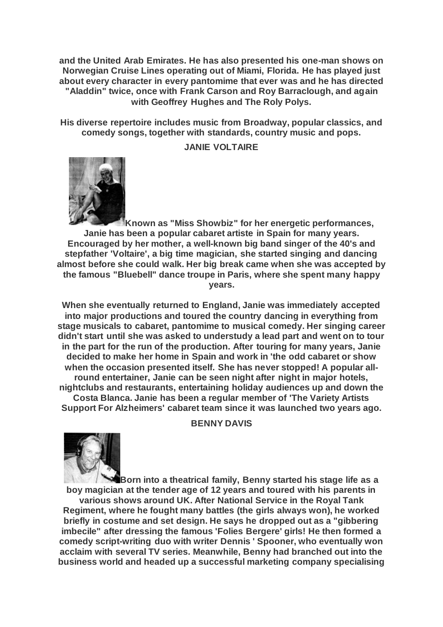**and the United Arab Emirates. He has also presented his one-man shows on Norwegian Cruise Lines operating out of Miami, Florida. He has played just about every character in every pantomime that ever was and he has directed "Aladdin" twice, once with Frank Carson and Roy Barraclough, and again with Geoffrey Hughes and The Roly Polys.**

**His diverse repertoire includes music from Broadway, popular classics, and comedy songs, together with standards, country music and pops.**

## **JANIE VOLTAIRE**



**Known as "Miss Showbiz" for her energetic performances, Janie has been a popular cabaret artiste in Spain for many years. Encouraged by her mother, a well-known big band singer of the 40's and stepfather 'Voltaire', a big time magician, she started singing and dancing almost before she could walk. Her big break came when she was accepted by the famous "Bluebell" dance troupe in Paris, where she spent many happy years.**

**When she eventually returned to England, Janie was immediately accepted into major productions and toured the country dancing in everything from stage musicals to cabaret, pantomime to musical comedy. Her singing career didn't start until she was asked to understudy a lead part and went on to tour in the part for the run of the production. After touring for many years, Janie decided to make her home in Spain and work in 'the odd cabaret or show when the occasion presented itself. She has never stopped! A popular allround entertainer, Janie can be seen night after night in major hotels, nightclubs and restaurants, entertaining holiday audiences up and down the Costa Blanca. Janie has been a regular member of 'The Variety Artists Support For Alzheimers' cabaret team since it was launched two years ago.**

## **BENNY DAVIS**



**Born into a theatrical family, Benny started his stage life as a boy magician at the tender age of 12 years and toured with his parents in** 

**various shows around UK. After National Service in the Royal Tank Regiment, where he fought many battles (the girls always won), he worked briefly in costume and set design. He says he dropped out as a "gibbering imbecile" after dressing the famous 'Folies Bergere' girls! He then formed a comedy script-writing duo with writer Dennis ' Spooner, who eventually won acclaim with several TV series. Meanwhile, Benny had branched out into the business world and headed up a successful marketing company specialising**